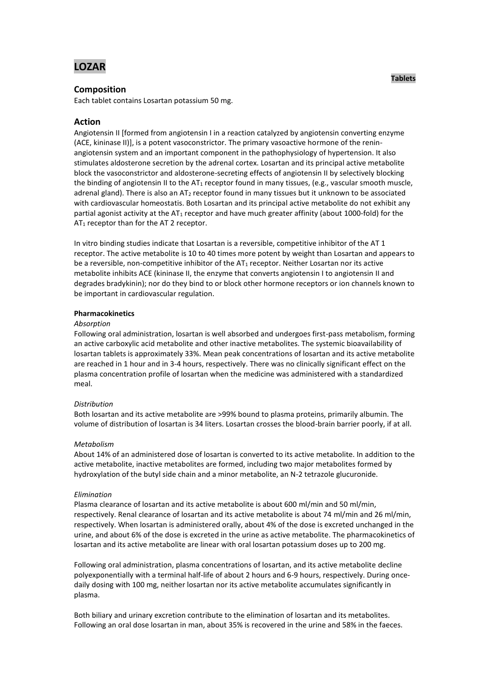# **LOZAR**

# **Composition**

Each tablet contains Losartan potassium 50 mg.

# **Action**

Angiotensin II [formed from angiotensin I in a reaction catalyzed by angiotensin converting enzyme (ACE, kininase II)], is a potent vasoconstrictor. The primary vasoactive hormone of the reninangiotensin system and an important component in the pathophysiology of hypertension. It also stimulates aldosterone secretion by the adrenal cortex. Losartan and its principal active metabolite block the vasoconstrictor and aldosterone-secreting effects of angiotensin II by selectively blocking the binding of angiotensin II to the AT<sub>1</sub> receptor found in many tissues, (e.g., vascular smooth muscle, adrenal gland). There is also an  $AT_2$  receptor found in many tissues but it unknown to be associated with cardiovascular homeostatis. Both Losartan and its principal active metabolite do not exhibit any partial agonist activity at the AT<sub>1</sub> receptor and have much greater affinity (about 1000-fold) for the AT<sub>1</sub> receptor than for the AT<sub>2</sub> receptor.

In vitro binding studies indicate that Losartan is a reversible, competitive inhibitor of the AT 1 receptor. The active metabolite is 10 to 40 times more potent by weight than Losartan and appears to be a reversible, non-competitive inhibitor of the  $AT_1$  receptor. Neither Losartan nor its active metabolite inhibits ACE (kininase II, the enzyme that converts angiotensin I to angiotensin II and degrades bradykinin); nor do they bind to or block other hormone receptors or ion channels known to be important in cardiovascular regulation.

#### **Pharmacokinetics**

#### *Absorption*

Following oral administration, losartan is well absorbed and undergoes first-pass metabolism, forming an active carboxylic acid metabolite and other inactive metabolites. The systemic bioavailability of losartan tablets is approximately 33%. Mean peak concentrations of losartan and its active metabolite are reached in 1 hour and in 3-4 hours, respectively. There was no clinically significant effect on the plasma concentration profile of losartan when the medicine was administered with a standardized meal.

# *Distribution*

Both losartan and its active metabolite are >99% bound to plasma proteins, primarily albumin. The volume of distribution of losartan is 34 liters. Losartan crosses the blood-brain barrier poorly, if at all.

#### *Metabolism*

About 14% of an administered dose of losartan is converted to its active metabolite. In addition to the active metabolite, inactive metabolites are formed, including two major metabolites formed by hydroxylation of the butyl side chain and a minor metabolite, an N-2 tetrazole glucuronide.

#### *Elimination*

Plasma clearance of losartan and its active metabolite is about 600 ml/min and 50 ml/min, respectively. Renal clearance of losartan and its active metabolite is about 74 ml/min and 26 ml/min, respectively. When losartan is administered orally, about 4% of the dose is excreted unchanged in the urine, and about 6% of the dose is excreted in the urine as active metabolite. The pharmacokinetics of losartan and its active metabolite are linear with oral losartan potassium doses up to 200 mg.

Following oral administration, plasma concentrations of losartan, and its active metabolite decline polyexponentially with a terminal half-life of about 2 hours and 6-9 hours, respectively. During oncedaily dosing with 100 mg, neither losartan nor its active metabolite accumulates significantly in plasma.

Both biliary and urinary excretion contribute to the elimination of losartan and its metabolites. Following an oral dose losartan in man, about 35% is recovered in the urine and 58% in the faeces.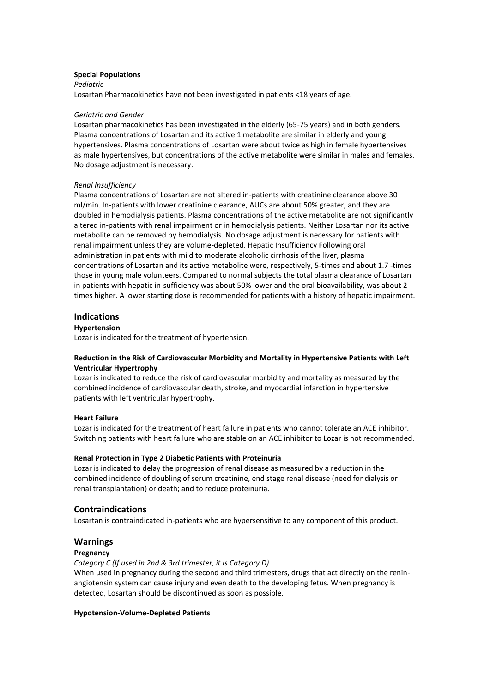#### **Special Populations**

*Pediatric* Losartan Pharmacokinetics have not been investigated in patients <18 years of age.

#### *Geriatric and Gender*

Losartan pharmacokinetics has been investigated in the elderly (65-75 years) and in both genders. Plasma concentrations of Losartan and its active 1 metabolite are similar in elderly and young hypertensives. Plasma concentrations of Losartan were about twice as high in female hypertensives as male hypertensives, but concentrations of the active metabolite were similar in males and females. No dosage adjustment is necessary.

#### *Renal Insufficiency*

Plasma concentrations of Losartan are not altered in-patients with creatinine clearance above 30 ml/min. In-patients with lower creatinine clearance, AUCs are about 50% greater, and they are doubled in hemodialysis patients. Plasma concentrations of the active metabolite are not significantly altered in-patients with renal impairment or in hemodialysis patients. Neither Losartan nor its active metabolite can be removed by hemodialysis. No dosage adjustment is necessary for patients with renal impairment unless they are volume-depleted. Hepatic Insufficiency Following oral administration in patients with mild to moderate alcoholic cirrhosis of the liver, plasma concentrations of Losartan and its active metabolite were, respectively, 5-times and about 1.7 -times those in young male volunteers. Compared to normal subjects the total plasma clearance of Losartan in patients with hepatic in-sufficiency was about 50% lower and the oral bioavailability, was about 2 times higher. A lower starting dose is recommended for patients with a history of hepatic impairment.

# **Indications**

# **Hypertension**

Lozar is indicated for the treatment of hypertension.

# **Reduction in the Risk of Cardiovascular Morbidity and Mortality in Hypertensive Patients with Left Ventricular Hypertrophy**

Lozar is indicated to reduce the risk of cardiovascular morbidity and mortality as measured by the combined incidence of cardiovascular death, stroke, and myocardial infarction in hypertensive patients with left ventricular hypertrophy.

# **Heart Failure**

Lozar is indicated for the treatment of heart failure in patients who cannot tolerate an ACE inhibitor. Switching patients with heart failure who are stable on an ACE inhibitor to Lozar is not recommended.

# **Renal Protection in Type 2 Diabetic Patients with Proteinuria**

Lozar is indicated to delay the progression of renal disease as measured by a reduction in the combined incidence of doubling of serum creatinine, end stage renal disease (need for dialysis or renal transplantation) or death; and to reduce proteinuria.

# **Contraindications**

Losartan is contraindicated in-patients who are hypersensitive to any component of this product.

# **Warnings**

# **Pregnancy**

*Category C (If used in 2nd & 3rd trimester, it is Category D)*

When used in pregnancy during the second and third trimesters, drugs that act directly on the reninangiotensin system can cause injury and even death to the developing fetus. When pregnancy is detected, Losartan should be discontinued as soon as possible.

#### **Hypotension-Volume-Depleted Patients**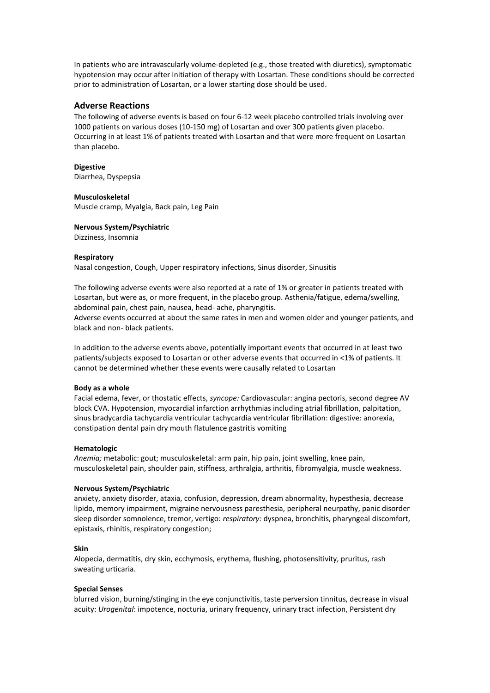In patients who are intravascularly volume-depleted (e.g., those treated with diuretics), symptomatic hypotension may occur after initiation of therapy with Losartan. These conditions should be corrected prior to administration of Losartan, or a lower starting dose should be used.

### **Adverse Reactions**

The following of adverse events is based on four 6-12 week placebo controlled trials involving over 1000 patients on various doses (10-150 mg) of Losartan and over 300 patients given placebo. Occurring in at least 1% of patients treated with Losartan and that were more frequent on Losartan than placebo.

#### **Digestive**

Diarrhea, Dyspepsia

#### **Musculoskeletal**

Muscle cramp, Myalgia, Back pain, Leg Pain

#### **Nervous System/Psychiatric**

Dizziness, Insomnia

#### **Respiratory**

Nasal congestion, Cough, Upper respiratory infections, Sinus disorder, Sinusitis

The following adverse events were also reported at a rate of 1% or greater in patients treated with Losartan, but were as, or more frequent, in the placebo group. Asthenia/fatigue, edema/swelling, abdominal pain, chest pain, nausea, head- ache, pharyngitis.

Adverse events occurred at about the same rates in men and women older and younger patients, and black and non- black patients.

In addition to the adverse events above, potentially important events that occurred in at least two patients/subjects exposed to Losartan or other adverse events that occurred in <1% of patients. It cannot be determined whether these events were causally related to Losartan

#### **Body as a whole**

Facial edema, fever, or thostatic effects, *syncope:* Cardiovascular: angina pectoris, second degree AV block CVA. Hypotension, myocardial infarction arrhythmias including atrial fibrillation, palpitation, sinus bradycardia tachycardia ventricular tachycardia ventricular fibrillation: digestive: anorexia, constipation dental pain dry mouth flatulence gastritis vomiting

#### **Hematologic**

*Anemia;* metabolic: gout; musculoskeletal: arm pain, hip pain, joint swelling, knee pain, musculoskeletal pain, shoulder pain, stiffness, arthralgia, arthritis, fibromyalgia, muscle weakness.

#### **Nervous System/Psychiatric**

anxiety, anxiety disorder, ataxia, confusion, depression, dream abnormality, hypesthesia, decrease lipido, memory impairment, migraine nervousness paresthesia, peripheral neurpathy, panic disorder sleep disorder somnolence, tremor, vertigo: *respiratory:* dyspnea, bronchitis, pharyngeal discomfort, epistaxis, rhinitis, respiratory congestion;

#### **Skin**

Alopecia, dermatitis, dry skin, ecchymosis, erythema, flushing, photosensitivity, pruritus, rash sweating urticaria.

#### **Special Senses**

blurred vision, burning/stinging in the eye conjunctivitis, taste perversion tinnitus, decrease in visual acuity: *Urogenital*: impotence, nocturia, urinary frequency, urinary tract infection, Persistent dry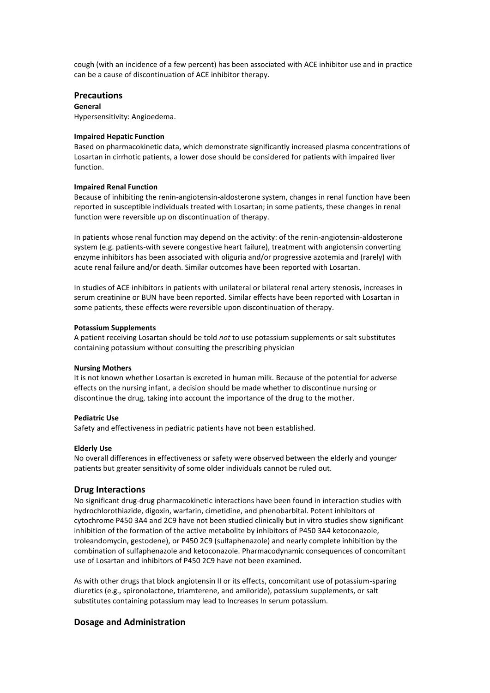cough (with an incidence of a few percent) has been associated with ACE inhibitor use and in practice can be a cause of discontinuation of ACE inhibitor therapy.

# **Precautions**

# **General**

Hypersensitivity: Angioedema.

#### **Impaired Hepatic Function**

Based on pharmacokinetic data, which demonstrate significantly increased plasma concentrations of Losartan in cirrhotic patients, a lower dose should be considered for patients with impaired liver function.

#### **Impaired Renal Function**

Because of inhibiting the renin-angiotensin-aldosterone system, changes in renal function have been reported in susceptible individuals treated with Losartan; in some patients, these changes in renal function were reversible up on discontinuation of therapy.

In patients whose renal function may depend on the activity: of the renin-angiotensin-aldosterone system (e.g. patients-with severe congestive heart failure), treatment with angiotensin converting enzyme inhibitors has been associated with oliguria and/or progressive azotemia and (rarely) with acute renal failure and/or death. Similar outcomes have been reported with Losartan.

In studies of ACE inhibitors in patients with unilateral or bilateral renal artery stenosis, increases in serum creatinine or BUN have been reported. Similar effects have been reported with Losartan in some patients, these effects were reversible upon discontinuation of therapy.

#### **Potassium Supplements**

A patient receiving Losartan should be told *not* to use potassium supplements or salt substitutes containing potassium without consulting the prescribing physician

#### **Nursing Mothers**

It is not known whether Losartan is excreted in human milk. Because of the potential for adverse effects on the nursing infant, a decision should be made whether to discontinue nursing or discontinue the drug, taking into account the importance of the drug to the mother.

#### **Pediatric Use**

Safety and effectiveness in pediatric patients have not been established.

#### **Elderly Use**

No overall differences in effectiveness or safety were observed between the elderly and younger patients but greater sensitivity of some older individuals cannot be ruled out.

# **Drug Interactions**

No significant drug-drug pharmacokinetic interactions have been found in interaction studies with hydrochlorothiazide, digoxin, warfarin, cimetidine, and phenobarbital. Potent inhibitors of cytochrome P450 3A4 and 2C9 have not been studied clinically but in vitro studies show significant inhibition of the formation of the active metabolite by inhibitors of P450 3A4 ketoconazole, troleandomycin, gestodene), or P450 2C9 (sulfaphenazole) and nearly complete inhibition by the combination of sulfaphenazole and ketoconazole. Pharmacodynamic consequences of concomitant use of Losartan and inhibitors of P450 2C9 have not been examined.

As with other drugs that block angiotensin II or its effects, concomitant use of potassium-sparing diuretics (e.g., spironolactone, triamterene, and amiloride), potassium supplements, or salt substitutes containing potassium may lead to Increases In serum potassium.

# **Dosage and Administration**